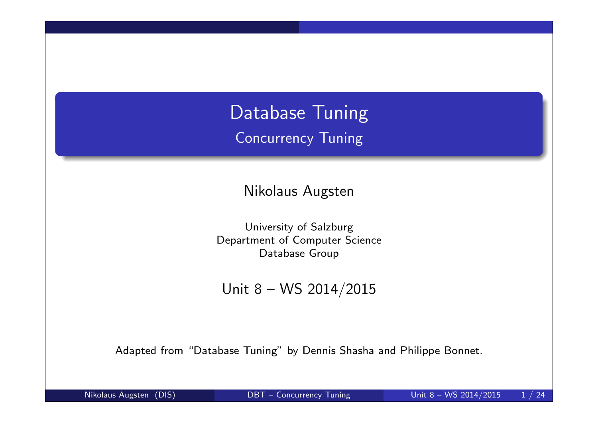Database Tuning Concurrency Tuning

Nikolaus Augsten

University of Salzburg Department of Computer Science Database Group

Unit 8 – WS 2014/2015

Adapted from "Database Tuning" by Dennis Shasha and Philippe Bonnet.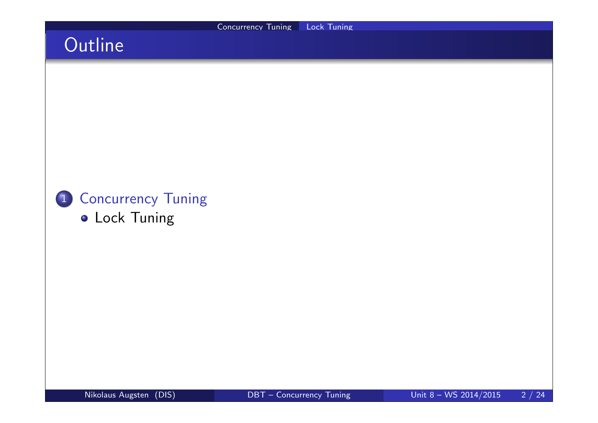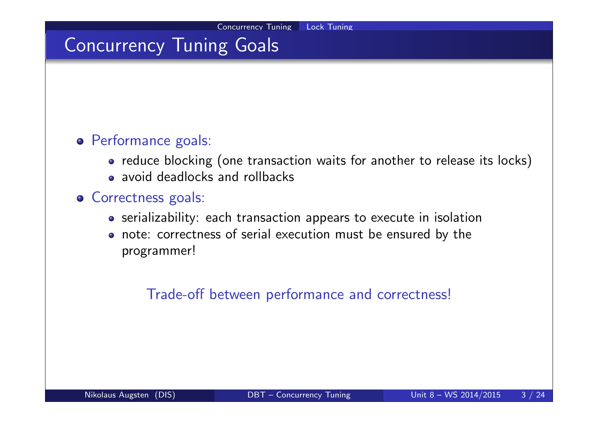## Concurrency Tuning Goals

### Performance goals:

- reduce blocking (one transaction waits for another to release its locks)
- avoid deadlocks and rollbacks

#### **o** Correctness goals:

- serializability: each transaction appears to execute in isolation
- note: correctness of serial execution must be ensured by the programmer!

Trade-off between performance and correctness!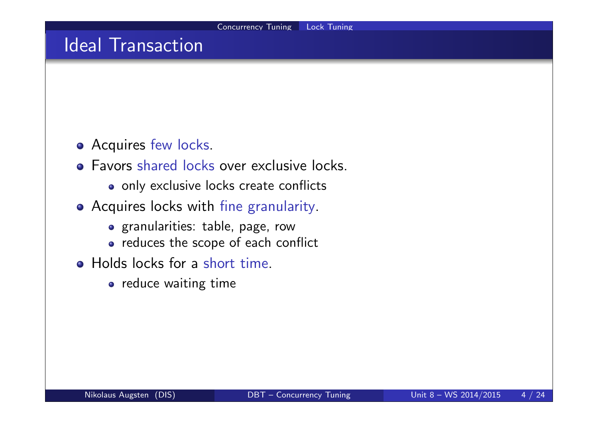### Ideal Transaction

- **Acquires few locks.**
- **•** Favors shared locks over exclusive locks.
	- o only exclusive locks create conflicts
- Acquires locks with fine granularity.
	- granularities: table, page, row
	- reduces the scope of each conflict
- Holds locks for a short time.
	- o reduce waiting time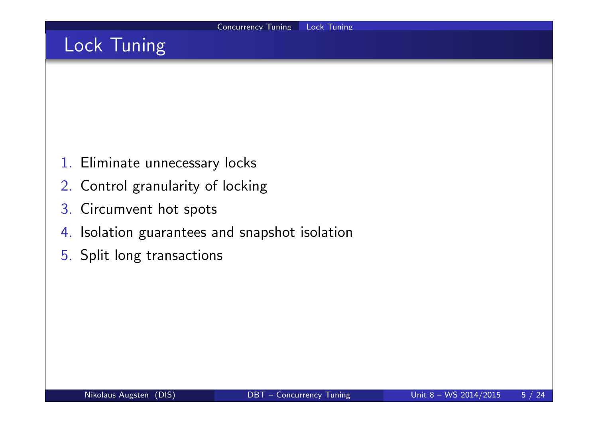## Lock Tuning

- 1. Eliminate unnecessary locks
- 2. Control granularity of locking
- 3. Circumvent hot spots
- 4. Isolation guarantees and snapshot isolation
- 5. Split long transactions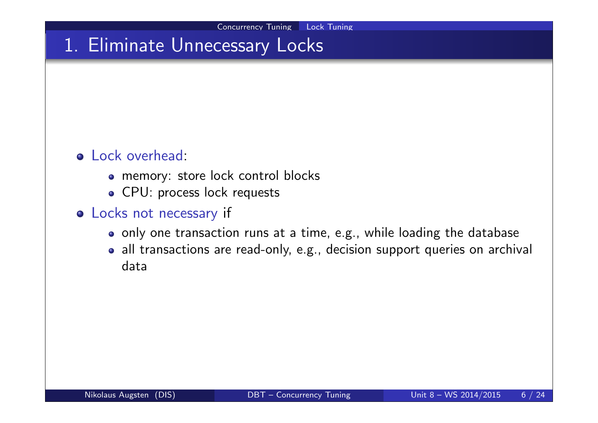### 1. Eliminate Unnecessary Locks

### Lock overhead:

- memory: store lock control blocks
- CPU: process lock requests

### Locks not necessary if

- o only one transaction runs at a time, e.g., while loading the database
- all transactions are read-only, e.g., decision support queries on archival data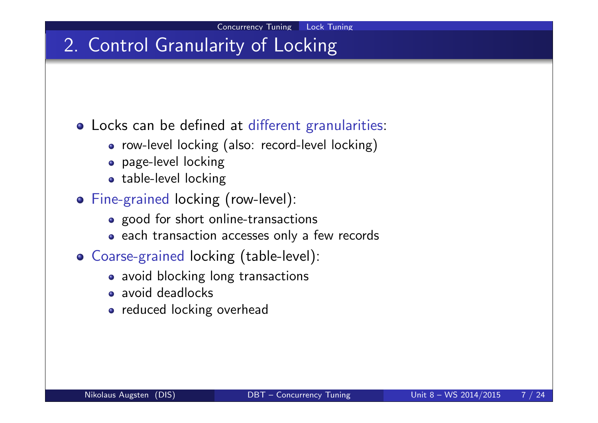## 2. Control Granularity of Locking

Locks can be defined at different granularities:

- row-level locking (also: record-level locking)
- page-level locking
- table-level locking
- Fine-grained locking (row-level):
	- good for short online-transactions
	- each transaction accesses only a few records
- Coarse-grained locking (table-level):
	- avoid blocking long transactions
	- avoid deadlocks
	- reduced locking overhead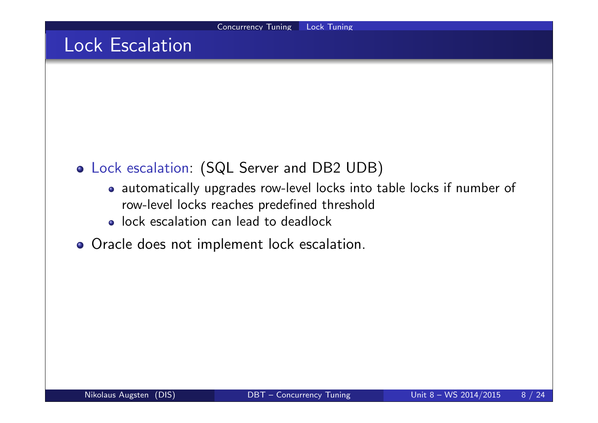### Lock Escalation

- Lock escalation: (SQL Server and DB2 UDB)
	- automatically upgrades row-level locks into table locks if number of row-level locks reaches predefined threshold
	- lock escalation can lead to deadlock
- o Oracle does not implement lock escalation.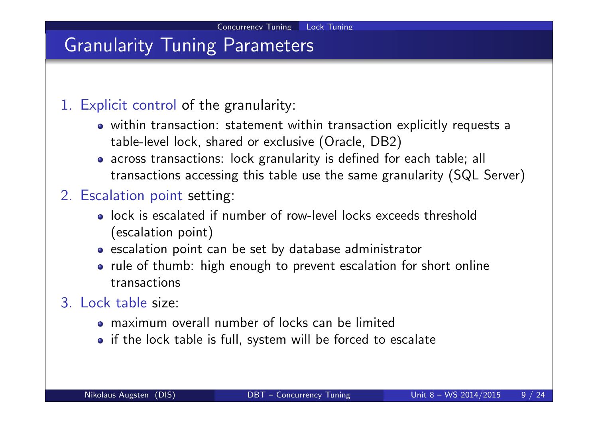### Granularity Tuning Parameters

### 1. Explicit control of the granularity:

- within transaction: statement within transaction explicitly requests a table-level lock, shared or exclusive (Oracle, DB2)
- across transactions: lock granularity is defined for each table; all transactions accessing this table use the same granularity (SQL Server)

### 2. Escalation point setting:

- lock is escalated if number of row-level locks exceeds threshold (escalation point)
- escalation point can be set by database administrator
- rule of thumb: high enough to prevent escalation for short online transactions
- 3. Lock table size:
	- maximum overall number of locks can be limited
	- if the lock table is full, system will be forced to escalate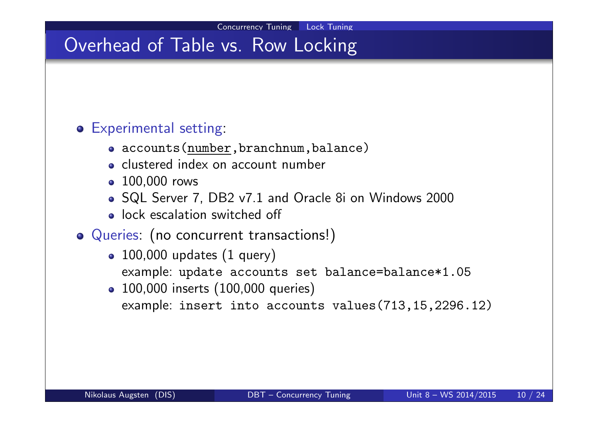## Overhead of Table vs. Row Locking

### Experimental setting:

- accounts(number, branchnum, balance)
- clustered index on account number
- 100,000 rows
- SQL Server 7, DB2 v7.1 and Oracle 8i on Windows 2000
- lock escalation switched off
- Queries: (no concurrent transactions!)
	- $\bullet$  100,000 updates (1 query)
		- example: update accounts set balance=balance\*1.05
	- 100,000 inserts (100,000 queries) example: insert into accounts values(713,15,2296.12)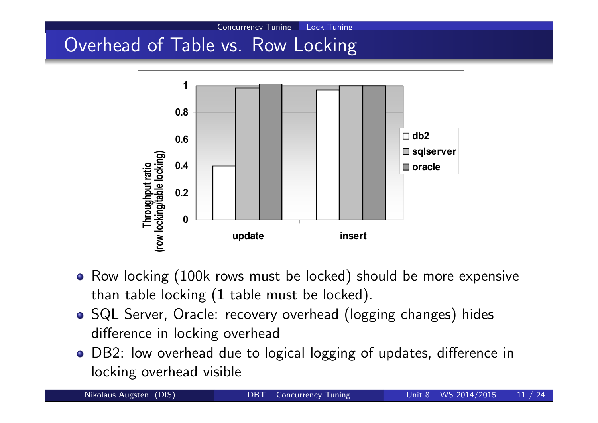# Overhead of Table vs. Row Locking



Concurrency Tuning Lock Tuning

- Row locking (100k rows must be locked) should be more expensive than table locking (1 table must be locked).
- o SQL Server, Oracle: recovery overhead (logging changes) hides difference in locking overhead
- DB2: low overhead due to logical logging of updates, difference in locking overhead visible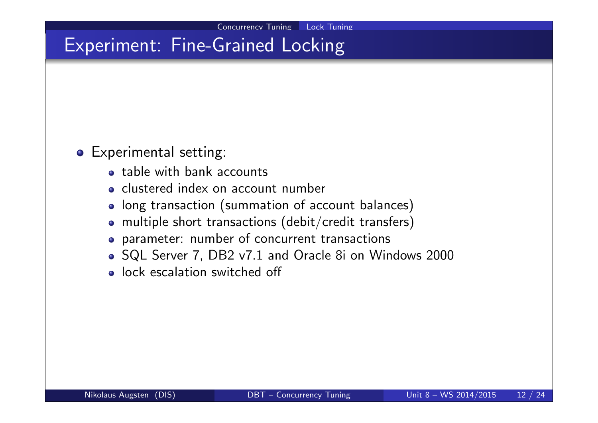## Experiment: Fine-Grained Locking

#### **•** Experimental setting:

- table with bank accounts
- clustered index on account number
- long transaction (summation of account balances)
- multiple short transactions (debit/credit transfers)
- parameter: number of concurrent transactions
- SQL Server 7, DB2 v7.1 and Oracle 8i on Windows 2000
- **.** lock escalation switched off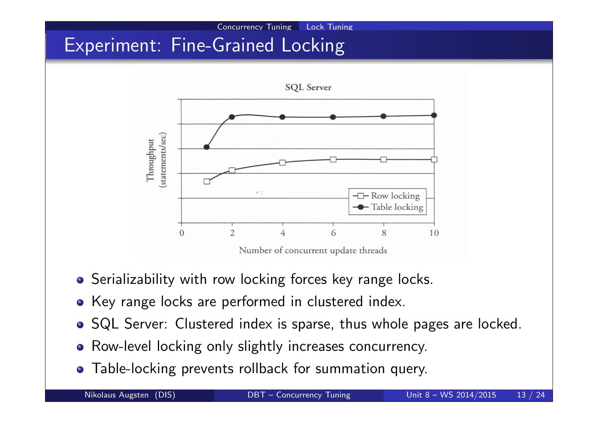# Experiment: Fine-Grained Locking



Concurrency Tuning Lock Tuning

- **•** Serializability with row locking forces key range locks.
- Key range locks are performed in clustered index.
- SQL Server: Clustered index is sparse, thus whole pages are locked.
- Row-level locking only slightly increases concurrency.
- Table-locking prevents rollback for summation query.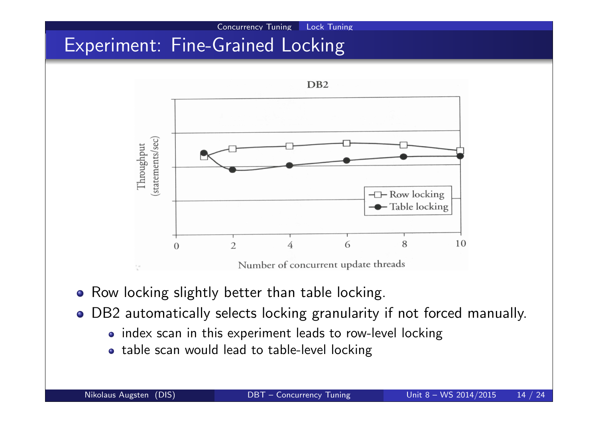

- Row locking slightly better than table locking.
- DB2 automatically selects locking granularity if not forced manually.
	- index scan in this experiment leads to row-level locking
	- table scan would lead to table-level locking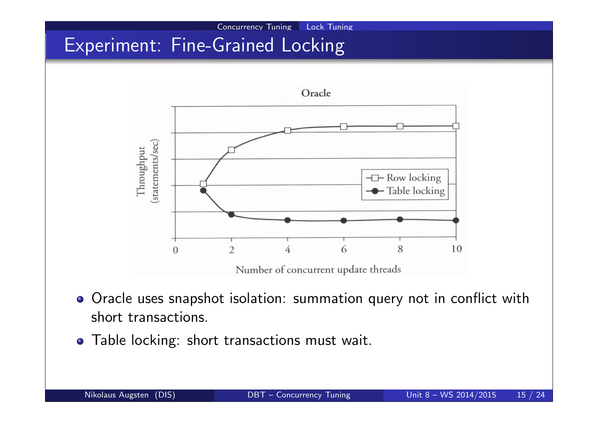# Experiment: Fine-Grained Locking



Concurrency Tuning Lock Tuning

- Oracle uses snapshot isolation: summation query not in conflict with short transactions.
- Table locking: short transactions must wait.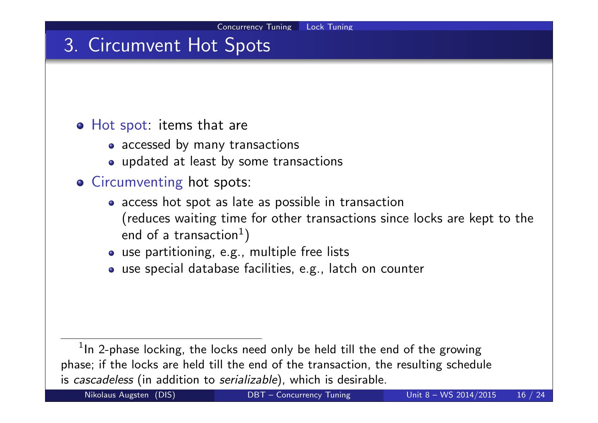## 3. Circumvent Hot Spots

#### Hot spot: items that are

- accessed by many transactions
- updated at least by some transactions
- **o** Circumventing hot spots:
	- access hot spot as late as possible in transaction (reduces waiting time for other transactions since locks are kept to the end of a transaction $^1)$
	- use partitioning, e.g., multiple free lists
	- use special database facilities, e.g., latch on counter

 $1$ In 2-phase locking, the locks need only be held till the end of the growing phase; if the locks are held till the end of the transaction, the resulting schedule is cascadeless (in addition to serializable), which is desirable.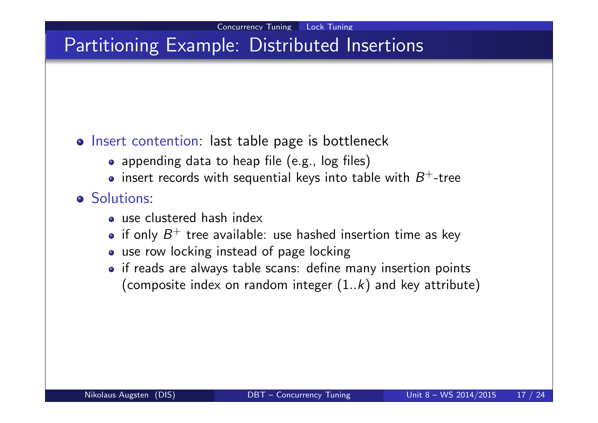## Partitioning Example: Distributed Insertions

### o Insert contention: last table page is bottleneck

- appending data to heap file (e.g., log files)
- insert records with sequential keys into table with  $B^+$ -tree

### **o** Solutions:

- o use clustered hash index
- if only  $B^+$  tree available: use hashed insertion time as key
- use row locking instead of page locking
- if reads are always table scans: define many insertion points (composite index on random integer  $(1..k)$  and key attribute)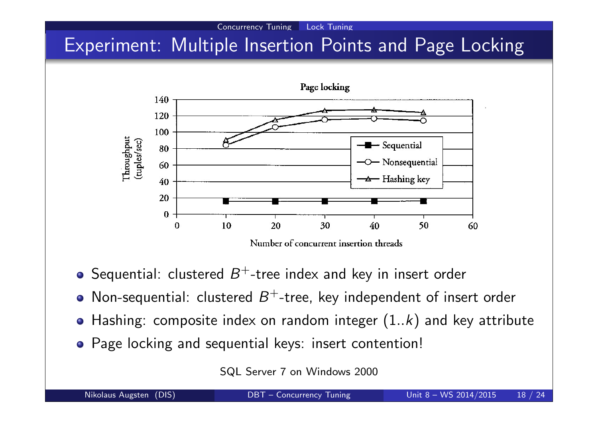# Experiment: Multiple Insertion Points and Page Locking

Concurrency Tuning Lock Tuning



- Sequential: clustered  $B^+$ -tree index and key in insert order
- Non-sequential: clustered  $B^+$ -tree, key independent of insert order
- Hashing: composite index on random integer  $(1..k)$  and key attribute
- Page locking and sequential keys: insert contention!

SQL Server 7 on Windows 2000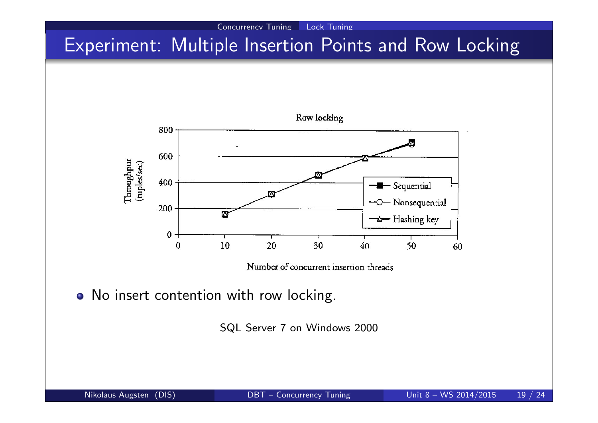# Experiment: Multiple Insertion Points and Row Locking

Concurrency Tuning Lock Tuning



Number of concurrent insertion threads

• No insert contention with row locking.

SQL Server 7 on Windows 2000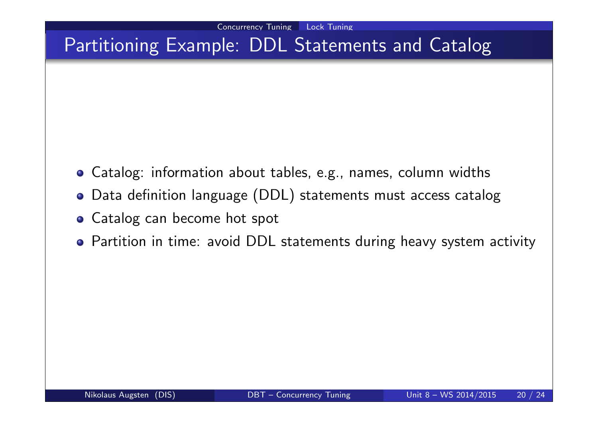## Partitioning Example: DDL Statements and Catalog

- Catalog: information about tables, e.g., names, column widths
- Data definition language (DDL) statements must access catalog
- **Catalog can become hot spot**
- Partition in time: avoid DDL statements during heavy system activity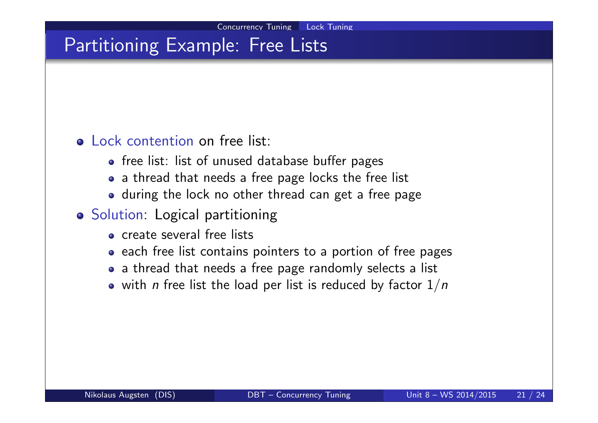## Partitioning Example: Free Lists

### o Lock contention on free list:

- free list: list of unused database buffer pages
- a thread that needs a free page locks the free list
- during the lock no other thread can get a free page
- **o** Solution: Logical partitioning
	- o create several free lists
	- each free list contains pointers to a portion of free pages
	- a thread that needs a free page randomly selects a list
	- with *n* free list the load per list is reduced by factor  $1/n$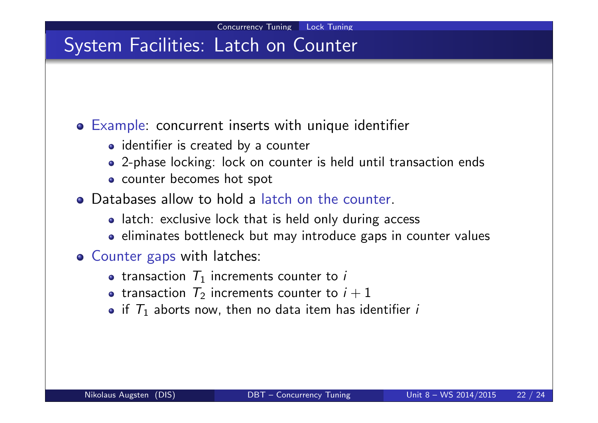## System Facilities: Latch on Counter

### Example: concurrent inserts with unique identifier

- identifier is created by a counter
- 2-phase locking: lock on counter is held until transaction ends
- counter becomes hot spot
- Databases allow to hold a latch on the counter.
	- latch: exclusive lock that is held only during access
	- eliminates bottleneck but may introduce gaps in counter values
- **o** Counter gaps with latches:
	- transaction  $T_1$  increments counter to i
	- transaction  $T_2$  increments counter to  $i+1$
	- if  $\mathcal{T}_1$  aborts now, then no data item has identifier  $i$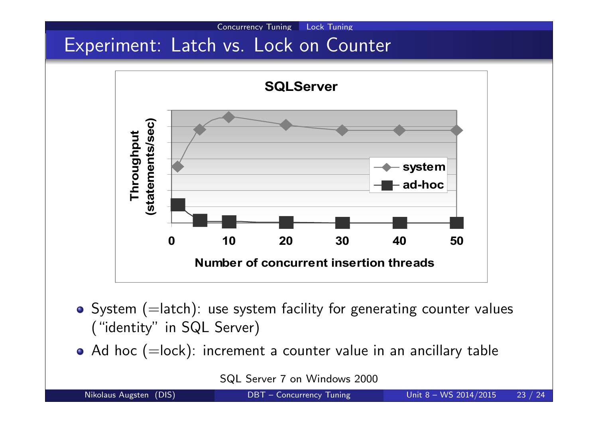# Experiment: Latch vs. Lock on Counter



Concurrency Tuning Lock Tuning

 $\bullet$  System (=latch): use system facility for generating counter values ("identity" in SQL Server)

 $\bullet$  Ad hoc (=lock): increment a counter value in an ancillary table

SQL Server 7 on Windows 2000